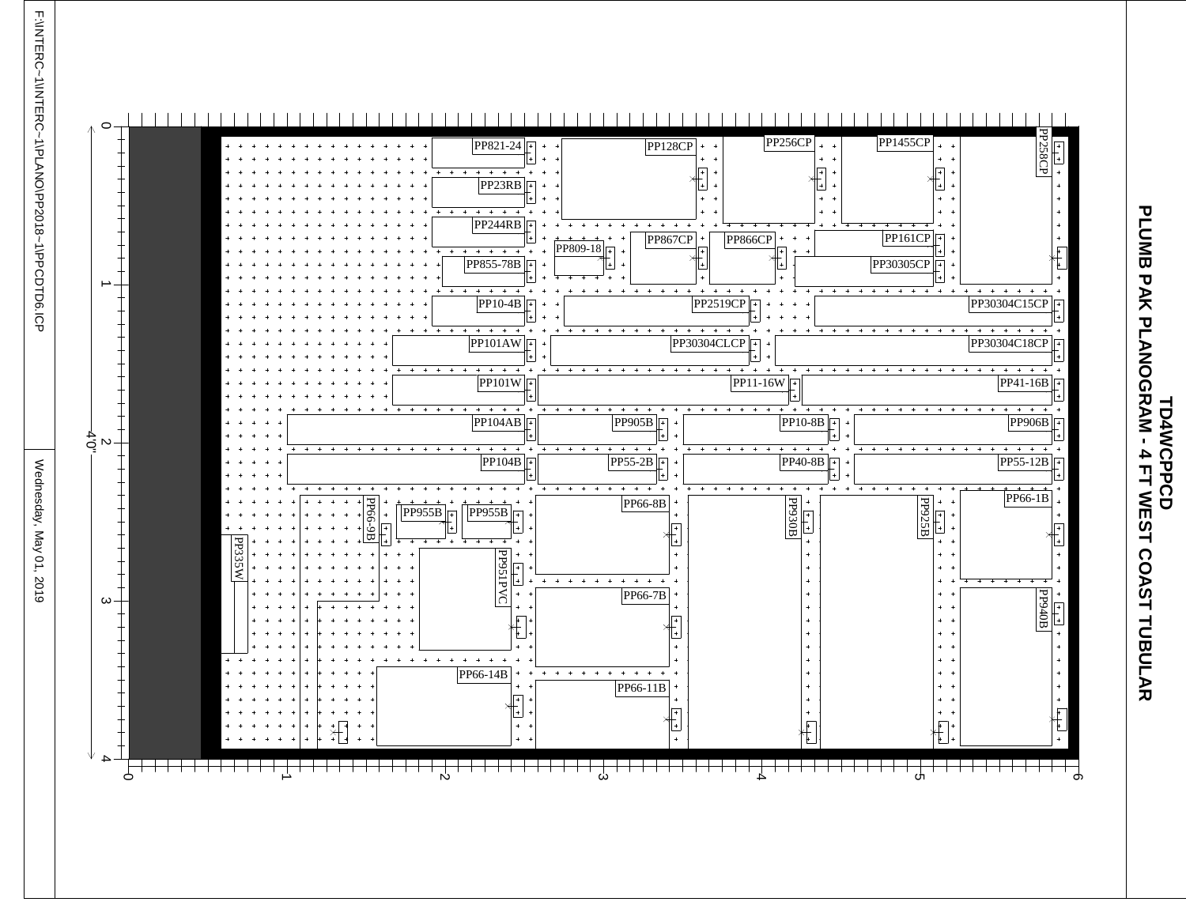

ග



Wednesday, May 01, 2019 Wednesday, May 01, 2019